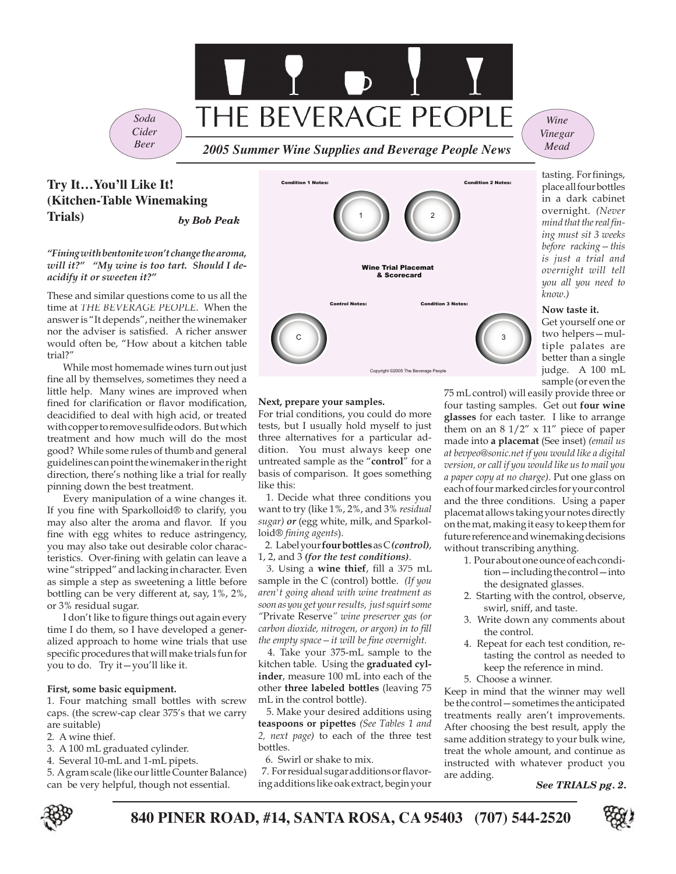

# *Cider Beer*

# **Try It…You'll Like It! (Kitchen-Table Winemaking Trials)**

*by Bob Peak*

## *"Fining with bentonite won't change the aroma, will it?" "My wine is too tart. Should I deacidify it or sweeten it?"*

These and similar questions come to us all the time at *THE BEVERAGE PEOPLE*. When the answer is "It depends", neither the winemaker nor the adviser is satisfied. A richer answer would often be, "How about a kitchen table trial?"

While most homemade wines turn out just fine all by themselves, sometimes they need a little help. Many wines are improved when fined for clarification or flavor modification, deacidified to deal with high acid, or treated with copper to remove sulfide odors. But which treatment and how much will do the most good? While some rules of thumb and general guidelines can point the winemaker in the right direction, there's nothing like a trial for really pinning down the best treatment.

Every manipulation of a wine changes it. If you fine with Sparkolloid® to clarify, you may also alter the aroma and flavor. If you fine with egg whites to reduce astringency, you may also take out desirable color characteristics. Over-fining with gelatin can leave a wine "stripped" and lacking in character. Even as simple a step as sweetening a little before bottling can be very different at, say, 1%, 2%, or 3% residual sugar.

I don't like to figure things out again every time I do them, so I have developed a generalized approach to home wine trials that use specific procedures that will make trials fun for you to do. Try it—you'll like it.

## **First, some basic equipment.**

1. Four matching small bottles with screw caps. (the screw-cap clear 375's that we carry are suitable)

- 2. A wine thief.
- 3. A 100 mL graduated cylinder.
- 4. Several 10-mL and 1-mL pipets.

5. A gram scale (like our little Counter Balance) can be very helpful, though not essential.



## **Next, prepare your samples.**

For trial conditions, you could do more tests, but I usually hold myself to just three alternatives for a particular addition. You must always keep one untreated sample as the "**control**" for a basis of comparison. It goes something like this:

 1. Decide what three conditions you want to try (like 1%, 2%, and 3% *residual sugar) or* (egg white, milk, and Sparkolloid<sup>®</sup> fining agents).

 2. Label your **four bottles** as C *(control)*, 1, 2, and 3 *(for the test conditions)*.

3. Using a wine thief, fill a 375 mL sample in the C (control) bottle. *(If you aren't going ahead with wine treatment as soon as you get your results, just squirt some "*Private Reserve*" wine preserver gas (or*  carbon dioxide, nitrogen, or argon) in to fill *the empty space – it will be fine overnight.* 

 4. Take your 375-mL sample to the kitchen table. Using the **graduated cylinder**, measure 100 mL into each of the other **three labeled bottles** (leaving 75 mL in the control bottle).

 5. Make your desired additions using **teaspoons or pipettes** *(See Tables 1 and 2, next page)* to each of the three test bottles.

6. Swirl or shake to mix.

7. For residual sugar additions or flavoring additions like oak extract, begin your

*Wine Vinegar Mead*

tasting. For finings, place all four bottles in a dark cabinet overnight. *(Never*  mind that the real fin*ing must sit 3 weeks before racking—this is just a trial and overnight will tell you all you need to know.)*

## **Now taste it.**

Get yourself one or two helpers—multiple palates are better than a single judge. A 100 mL sample (or even the

75 mL control) will easily provide three or four tasting samples. Get out **four wine glasses** for each taster. I like to arrange them on an  $8 \frac{1}{2}$ " x  $11$ " piece of paper made into **a placemat** (See inset) *(email us at bevpeo@sonic.net t bevpeo@sonic.net if you would like a digital version, or call if you would like us to mail you a paper copy at no charge).* Put one glass on each of four marked circles for your control and the three conditions. Using a paper placemat allows taking your notes directly on the mat, making it easy to keep them for future reference and winemaking decisions without transcribing anything.

- 1. Pour about one ounce of each condition—including the control—into the designated glasses.
- 2. Starting with the control, observe, swirl, sniff, and taste.
- 3. Write down any comments about the control.
- 4. Repeat for each test condition, retasting the control as needed to keep the reference in mind.
- 5. Choose a winner.

Keep in mind that the winner may well be the control—sometimes the anticipated treatments really aren't improvements. After choosing the best result, apply the same addition strategy to your bulk wine, treat the whole amount, and continue as instructed with whatever product you are adding.

*See TRIALS pg. 2.*



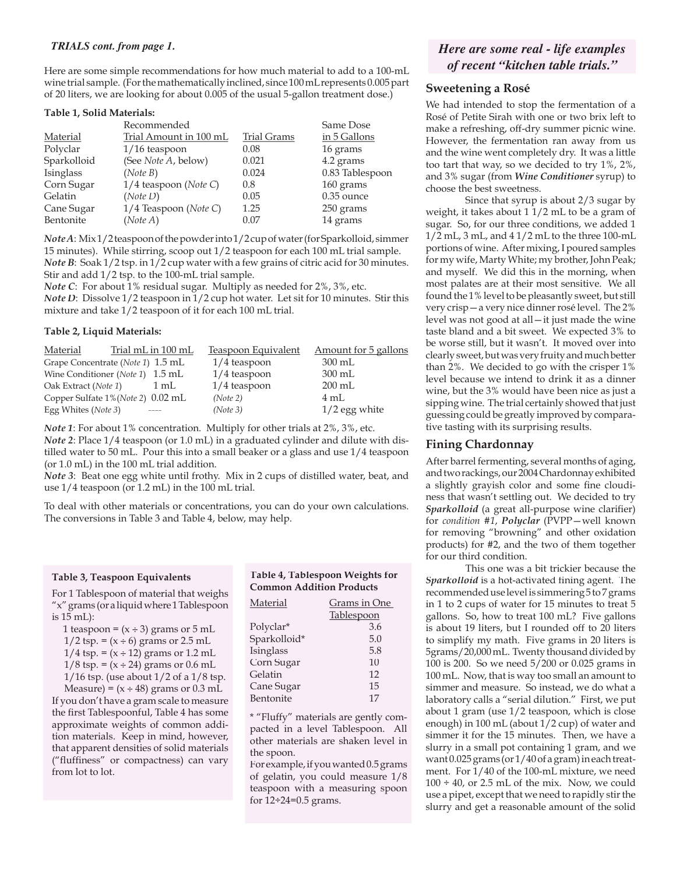## *TRIALS cont. from page 1.*

Here are some simple recommendations for how much material to add to a 100-mL wine trial sample. (For the mathematically inclined, since 100 mL represents 0.005 part of 20 liters, we are looking for about 0.005 of the usual 5-gallon treatment dose.)

### **Table 1, Solid Materials:**

|             | Recommended             |                    | Same Dose       |
|-------------|-------------------------|--------------------|-----------------|
| Material    | Trial Amount in 100 mL  | <b>Trial Grams</b> | in 5 Gallons    |
| Polyclar    | $1/16$ teaspoon         | 0.08               | 16 grams        |
| Sparkolloid | (See Note A, below)     | 0.021              | 4.2 grams       |
| Isinglass   | (Note B)                | 0.024              | 0.83 Tablespoon |
| Corn Sugar  | $1/4$ teaspoon (Note C) | 0.8                | 160 grams       |
| Gelatin     | (Note D)                | 0.05               | $0.35$ ounce    |
| Cane Sugar  | $1/4$ Teaspoon (Note C) | 1.25               | 250 grams       |
| Bentonite   | (Note A)                | 0.07               | 14 grams        |

*Note A*: Mix 1/2 teaspoon of the powder into 1/2 cup of water (for Sparkolloid, simmer 15 minutes). While stirring, scoop out 1/2 teaspoon for each 100 mL trial sample. *Note B*: Soak 1/2 tsp. in 1/2 cup water with a few grains of citric acid for 30 minutes. Stir and add 1/2 tsp. to the 100-mL trial sample.

*Note C*: For about 1% residual sugar. Multiply as needed for 2%, 3%, etc. *Note D*: Dissolve  $1/2$  teaspoon in  $1/2$  cup hot water. Let sit for 10 minutes. Stir this mixture and take 1/2 teaspoon of it for each 100 mL trial.

#### **Table 2, Liquid Materials:**

| Material                                    | Trial mL in 100 mL | Teaspoon Equivalent | Amount for 5 gallons |
|---------------------------------------------|--------------------|---------------------|----------------------|
| Grape Concentrate ( <i>Note 1</i> ) 1.5 mL  |                    | $1/4$ teaspoon      | $300 \text{ mL}$     |
| Wine Conditioner (Note 1) 1.5 mL            |                    | $1/4$ teaspoon      | $300 \text{ mL}$     |
| Oak Extract (Note 1)                        | $1 \text{ mL}$     | $1/4$ teaspoon      | $200$ mL             |
| Copper Sulfate 1% ( <i>Note 2</i> ) 0.02 mL |                    | (Note 2)            | $4 \text{ mL}$       |
| Egg Whites (Note 3)                         |                    | (Note 3)            | $1/2$ egg white      |

*Note 1*: For about 1% concentration. Multiply for other trials at 2%, 3%, etc.

*Note 2*: Place  $1/4$  teaspoon (or 1.0 mL) in a graduated cylinder and dilute with distilled water to 50 mL. Pour this into a small beaker or a glass and use 1/4 teaspoon (or 1.0 mL) in the 100 mL trial addition.

*Note 3*: Beat one egg white until frothy. Mix in 2 cups of distilled water, beat, and use 1/4 teaspoon (or 1.2 mL) in the 100 mL trial.

To deal with other materials or concentrations, you can do your own calculations. The conversions in Table 3 and Table 4, below, may help.

#### **Table 3, Teaspoon Equivalents**

For 1 Tablespoon of material that weighs "x" grams (or a liquid where 1 Tablespoon is 15 mL):

1 teaspoon =  $(x \div 3)$  grams or 5 mL

| $1/2$ tsp. = $(x \div 6)$ grams or 2.5 mL  |
|--------------------------------------------|
| $1/4$ tsp. = $(x \div 12)$ grams or 1.2 mL |

|  |  |  | $1/8$ tsp. = (x ÷ 24) grams or 0.6 mL |  |  |
|--|--|--|---------------------------------------|--|--|

1/16 tsp. (use about 1/2 of a 1/8 tsp.

Measure) =  $(x \div 48)$  grams or 0.3 mL If you don't have a gram scale to measure the first Tablespoonful, Table 4 has some approximate weights of common addition materials. Keep in mind, however, that apparent densities of solid materials ("fluffiness" or compactness) can vary from lot to lot.

## **Table 4, Tablespoon Weights for Common Addition Products**

| Material     | <b>Grams in One</b> |  |  |
|--------------|---------------------|--|--|
|              | <b>Tablespoon</b>   |  |  |
| Polyclar*    | 3.6                 |  |  |
| Sparkolloid* | 5.0                 |  |  |
| Isinglass    | 5.8                 |  |  |
| Corn Sugar   | 10                  |  |  |
| Gelatin      | 12                  |  |  |
| Cane Sugar   | 15                  |  |  |
| Bentonite    | 17                  |  |  |

\* "Fluffy" materials are gently compacted in a level Tablespoon. All other materials are shaken level in the spoon.

For example, if you wanted 0.5 grams of gelatin, you could measure 1/8 teaspoon with a measuring spoon for 12÷24=0.5 grams.

## *Here are some real - life examples of recent "kitchen table trials."*

## **Sweetening a Rosé**

We had intended to stop the fermentation of a Rosé of Petite Sirah with one or two brix left to make a refreshing, off-dry summer picnic wine. However, the fermentation ran away from us and the wine went completely dry. It was a little too tart that way, so we decided to try 1%, 2%, and 3% sugar (from *Wine Conditioner* syrup) to choose the best sweetness.

 Since that syrup is about 2/3 sugar by weight, it takes about  $1 \frac{1}{2}$  mL to be a gram of sugar. So, for our three conditions, we added 1 1/2 mL, 3 mL, and 4 1/2 mL to the three 100-mL portions of wine. After mixing, I poured samples for my wife, Marty White; my brother, John Peak; and myself. We did this in the morning, when most palates are at their most sensitive. We all found the 1% level to be pleasantly sweet, but still very crisp—a very nice dinner rosé level. The 2% level was not good at all—it just made the wine taste bland and a bit sweet. We expected 3% to be worse still, but it wasn't. It moved over into clearly sweet, but was very fruity and much better than 2%. We decided to go with the crisper 1% level because we intend to drink it as a dinner wine, but the 3% would have been nice as just a sipping wine. The trial certainly showed that just guessing could be greatly improved by comparative tasting with its surprising results.

## **Fining Chardonnay**

After barrel fermenting, several months of aging, and two rackings, our 2004 Chardonnay exhibited a slightly grayish color and some fine cloudiness that wasn't settling out. We decided to try *Sparkolloid* (a great all-purpose wine clarifier) for *condition #1*, *Polyclar* (PVPP—well known for removing "browning" and other oxidation products) for #2, and the two of them together for our third condition.

 This one was a bit trickier because the *Sparkolloid* is a hot-activated fining agent. The recommended use level is simmering 5 to 7 grams in 1 to 2 cups of water for 15 minutes to treat 5 gallons. So, how to treat 100 mL? Five gallons is about 19 liters, but I rounded off to 20 liters to simplify my math. Five grams in 20 liters is 5grams/20,000 mL. Twenty thousand divided by 100 is 200. So we need 5/200 or 0.025 grams in 100 mL. Now, that is way too small an amount to simmer and measure. So instead, we do what a laboratory calls a "serial dilution." First, we put about 1 gram (use 1/2 teaspoon, which is close enough) in 100 mL (about 1/2 cup) of water and simmer it for the 15 minutes. Then, we have a slurry in a small pot containing 1 gram, and we want 0.025 grams (or 1/40 of a gram) in each treatment. For 1/40 of the 100-mL mixture, we need  $100 \div 40$ , or 2.5 mL of the mix. Now, we could use a pipet, except that we need to rapidly stir the slurry and get a reasonable amount of the solid